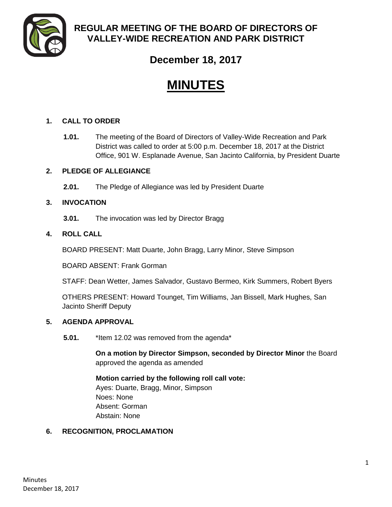

# **REGULAR MEETING OF THE BOARD OF DIRECTORS OF VALLEY-WIDE RECREATION AND PARK DISTRICT**

# **December 18, 2017**

# **MINUTES**

# **1. CALL TO ORDER**

**1.01.** The meeting of the Board of Directors of Valley-Wide Recreation and Park District was called to order at 5:00 p.m. December 18, 2017 at the District Office, 901 W. Esplanade Avenue, San Jacinto California, by President Duarte

# **2. PLEDGE OF ALLEGIANCE**

**2.01.** The Pledge of Allegiance was led by President Duarte

# **3. INVOCATION**

**3.01.** The invocation was led by Director Bragg

# **4. ROLL CALL**

BOARD PRESENT: Matt Duarte, John Bragg, Larry Minor, Steve Simpson

BOARD ABSENT: Frank Gorman

STAFF: Dean Wetter, James Salvador, Gustavo Bermeo, Kirk Summers, Robert Byers

OTHERS PRESENT: Howard Tounget, Tim Williams, Jan Bissell, Mark Hughes, San Jacinto Sheriff Deputy

# **5. AGENDA APPROVAL**

**5.01.** \*Item 12.02 was removed from the agenda\*

**On a motion by Director Simpson, seconded by Director Minor** the Board approved the agenda as amended

**Motion carried by the following roll call vote:** Ayes: Duarte, Bragg, Minor, Simpson Noes: None Absent: Gorman Abstain: None

# **6. RECOGNITION, PROCLAMATION**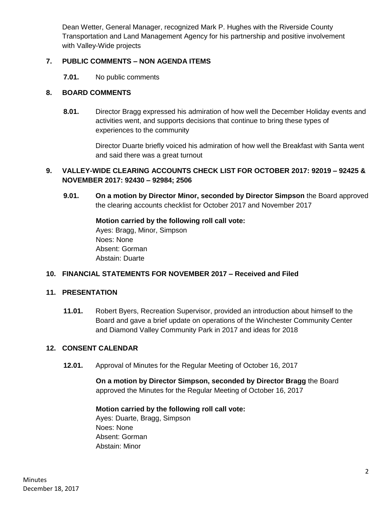Dean Wetter, General Manager, recognized Mark P. Hughes with the Riverside County Transportation and Land Management Agency for his partnership and positive involvement with Valley-Wide projects

# **7. PUBLIC COMMENTS – NON AGENDA ITEMS**

**7.01.** No public comments

# **8. BOARD COMMENTS**

**8.01.** Director Bragg expressed his admiration of how well the December Holiday events and activities went, and supports decisions that continue to bring these types of experiences to the community

> Director Duarte briefly voiced his admiration of how well the Breakfast with Santa went and said there was a great turnout

# **9. VALLEY-WIDE CLEARING ACCOUNTS CHECK LIST FOR OCTOBER 2017: 92019 – 92425 & NOVEMBER 2017: 92430 – 92984; 2506**

**9.01. On a motion by Director Minor, seconded by Director Simpson** the Board approved the clearing accounts checklist for October 2017 and November 2017

> **Motion carried by the following roll call vote:** Ayes: Bragg, Minor, Simpson Noes: None Absent: Gorman Abstain: Duarte

#### **10. FINANCIAL STATEMENTS FOR NOVEMBER 2017 – Received and Filed**

#### **11. PRESENTATION**

**11.01.** Robert Byers, Recreation Supervisor, provided an introduction about himself to the Board and gave a brief update on operations of the Winchester Community Center and Diamond Valley Community Park in 2017 and ideas for 2018

#### **12. CONSENT CALENDAR**

**12.01.** Approval of Minutes for the Regular Meeting of October 16, 2017

**On a motion by Director Simpson, seconded by Director Bragg** the Board approved the Minutes for the Regular Meeting of October 16, 2017

#### **Motion carried by the following roll call vote:**

Ayes: Duarte, Bragg, Simpson Noes: None Absent: Gorman Abstain: Minor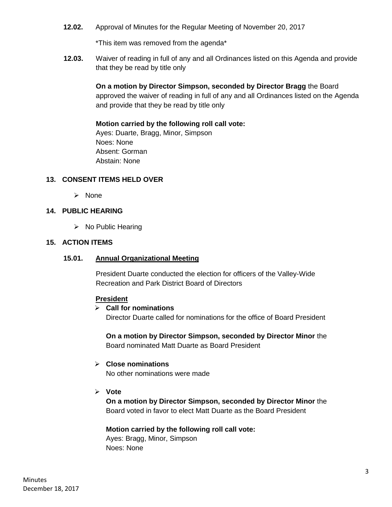**12.02.** Approval of Minutes for the Regular Meeting of November 20, 2017

\*This item was removed from the agenda\*

**12.03.** Waiver of reading in full of any and all Ordinances listed on this Agenda and provide that they be read by title only

> **On a motion by Director Simpson, seconded by Director Bragg** the Board approved the waiver of reading in full of any and all Ordinances listed on the Agenda and provide that they be read by title only

#### **Motion carried by the following roll call vote:**

Ayes: Duarte, Bragg, Minor, Simpson Noes: None Absent: Gorman Abstain: None

#### **13. CONSENT ITEMS HELD OVER**

 $\triangleright$  None

# **14. PUBLIC HEARING**

 $\triangleright$  No Public Hearing

#### **15. ACTION ITEMS**

#### **15.01. Annual Organizational Meeting**

President Duarte conducted the election for officers of the Valley-Wide Recreation and Park District Board of Directors

#### **President**

#### **Call for nominations**

Director Duarte called for nominations for the office of Board President

**On a motion by Director Simpson, seconded by Director Minor** the Board nominated Matt Duarte as Board President

#### **Close nominations**

No other nominations were made

**Vote**

**On a motion by Director Simpson, seconded by Director Minor** the Board voted in favor to elect Matt Duarte as the Board President

#### **Motion carried by the following roll call vote:**

Ayes: Bragg, Minor, Simpson Noes: None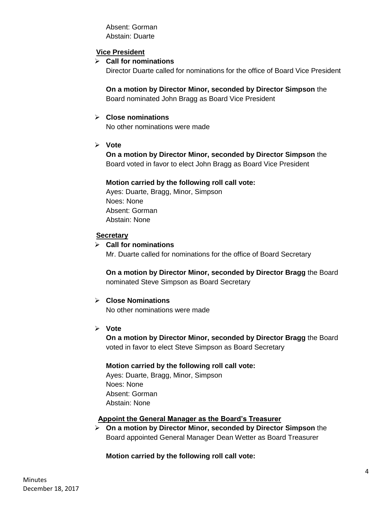Absent: Gorman Abstain: Duarte

# **Vice President**

#### **Call for nominations**

Director Duarte called for nominations for the office of Board Vice President

**On a motion by Director Minor, seconded by Director Simpson** the Board nominated John Bragg as Board Vice President

#### **Close nominations**

No other nominations were made

**Vote**

**On a motion by Director Minor, seconded by Director Simpson** the Board voted in favor to elect John Bragg as Board Vice President

#### **Motion carried by the following roll call vote:**

Ayes: Duarte, Bragg, Minor, Simpson Noes: None Absent: Gorman Abstain: None

# **Secretary**

#### **Call for nominations**

Mr. Duarte called for nominations for the office of Board Secretary

**On a motion by Director Minor, seconded by Director Bragg** the Board nominated Steve Simpson as Board Secretary

# **Close Nominations**

No other nominations were made

#### **Vote**

**On a motion by Director Minor, seconded by Director Bragg** the Board voted in favor to elect Steve Simpson as Board Secretary

#### **Motion carried by the following roll call vote:**

Ayes: Duarte, Bragg, Minor, Simpson Noes: None Absent: Gorman Abstain: None

#### **Appoint the General Manager as the Board's Treasurer**

 **On a motion by Director Minor, seconded by Director Simpson** the Board appointed General Manager Dean Wetter as Board Treasurer

#### **Motion carried by the following roll call vote:**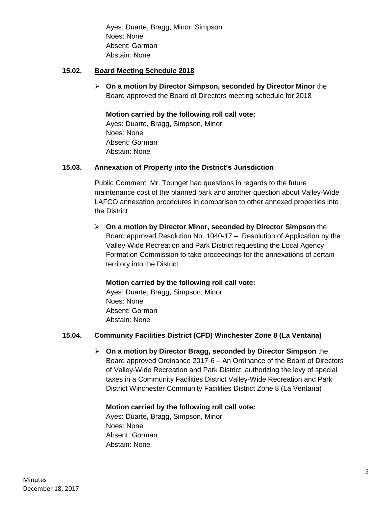Ayes: Duarte, Bragg, Minor, Simpson Noes: None Absent: Gorman Abstain: None

#### **15.02. Board Meeting Schedule 2018**

 **On a motion by Director Simpson, seconded by Director Minor** the Board approved the Board of Directors meeting schedule for 2018

# **Motion carried by the following roll call vote:**

Ayes: Duarte, Bragg, Simpson, Minor Noes: None Absent: Gorman Abstain: None

# **15.03. Annexation of Property into the District's Jurisdiction**

Public Comment: Mr. Tounget had questions in regards to the future maintenance cost of the planned park and another question about Valley-Wide LAFCO annexation procedures in comparison to other annexed properties into the District

 **On a motion by Director Minor, seconded by Director Simpson** the Board approved Resolution No. 1040-17 – Resolution of Application by the Valley-Wide Recreation and Park District requesting the Local Agency Formation Commission to take proceedings for the annexations of certain territory into the District

# **Motion carried by the following roll call vote:**

Ayes: Duarte, Bragg, Simpson, Minor Noes: None Absent: Gorman Abstain: None

# **15.04. Community Facilities District (CFD) Winchester Zone 8 (La Ventana)**

 **On a motion by Director Bragg, seconded by Director Simpson** the Board approved Ordinance 2017-6 – An Ordinance of the Board of Directors of Valley-Wide Recreation and Park District, authorizing the levy of special taxes in a Community Facilities District Valley-Wide Recreation and Park District Winchester Community Facilities District Zone 8 (La Ventana)

#### **Motion carried by the following roll call vote:**

Ayes: Duarte, Bragg, Simpson, Minor Noes: None Absent: Gorman Abstain: None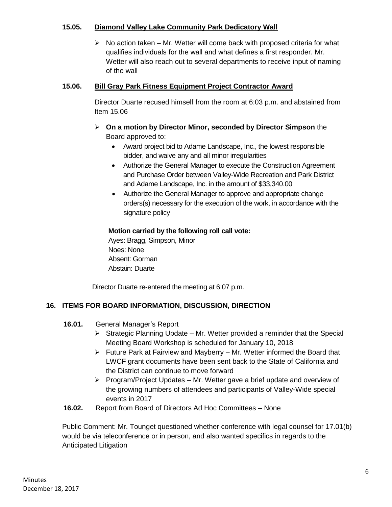# **15.05. Diamond Valley Lake Community Park Dedicatory Wall**

 $\triangleright$  No action taken – Mr. Wetter will come back with proposed criteria for what qualifies individuals for the wall and what defines a first responder. Mr. Wetter will also reach out to several departments to receive input of naming of the wall

# **15.06. Bill Gray Park Fitness Equipment Project Contractor Award**

Director Duarte recused himself from the room at 6:03 p.m. and abstained from Item 15.06

- **On a motion by Director Minor, seconded by Director Simpson** the Board approved to:
	- Award project bid to Adame Landscape, Inc., the lowest responsible bidder, and waive any and all minor irregularities
	- Authorize the General Manager to execute the Construction Agreement and Purchase Order between Valley-Wide Recreation and Park District and Adame Landscape, Inc. in the amount of \$33,340.00
	- Authorize the General Manager to approve and appropriate change orders(s) necessary for the execution of the work, in accordance with the signature policy

# **Motion carried by the following roll call vote:**

Ayes: Bragg, Simpson, Minor Noes: None Absent: Gorman Abstain: Duarte

Director Duarte re-entered the meeting at 6:07 p.m.

# **16. ITEMS FOR BOARD INFORMATION, DISCUSSION, DIRECTION**

- **16.01.** General Manager's Report
	- $\triangleright$  Strategic Planning Update Mr. Wetter provided a reminder that the Special Meeting Board Workshop is scheduled for January 10, 2018
	- $\triangleright$  Future Park at Fairview and Mayberry Mr. Wetter informed the Board that LWCF grant documents have been sent back to the State of California and the District can continue to move forward
	- $\triangleright$  Program/Project Updates Mr. Wetter gave a brief update and overview of the growing numbers of attendees and participants of Valley-Wide special events in 2017
- **16.02.** Report from Board of Directors Ad Hoc Committees None

Public Comment: Mr. Tounget questioned whether conference with legal counsel for 17.01(b) would be via teleconference or in person, and also wanted specifics in regards to the Anticipated Litigation